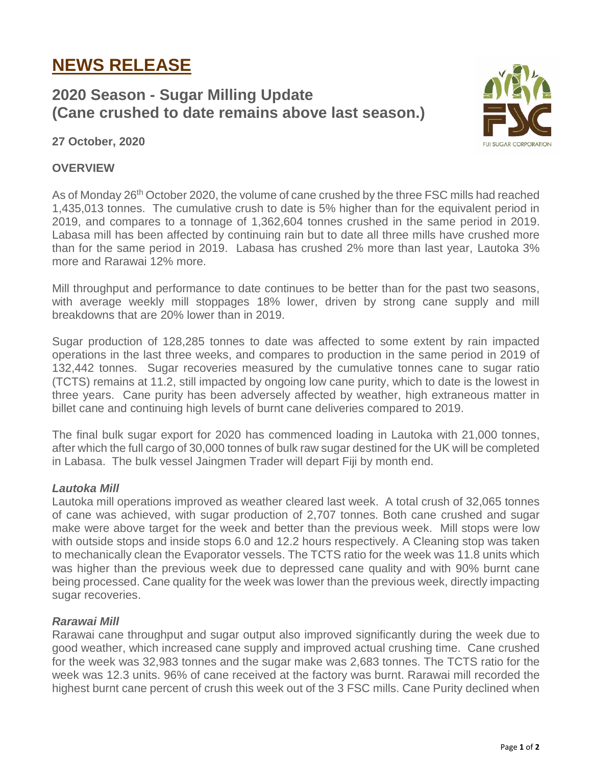# **NEWS RELEASE**

## **2020 Season - Sugar Milling Update (Cane crushed to date remains above last season.)**



### **27 October, 2020**

#### **OVERVIEW**

As of Monday 26<sup>th</sup> October 2020, the volume of cane crushed by the three FSC mills had reached 1,435,013 tonnes. The cumulative crush to date is 5% higher than for the equivalent period in 2019, and compares to a tonnage of 1,362,604 tonnes crushed in the same period in 2019. Labasa mill has been affected by continuing rain but to date all three mills have crushed more than for the same period in 2019. Labasa has crushed 2% more than last year, Lautoka 3% more and Rarawai 12% more.

Mill throughput and performance to date continues to be better than for the past two seasons, with average weekly mill stoppages 18% lower, driven by strong cane supply and mill breakdowns that are 20% lower than in 2019.

Sugar production of 128,285 tonnes to date was affected to some extent by rain impacted operations in the last three weeks, and compares to production in the same period in 2019 of 132,442 tonnes. Sugar recoveries measured by the cumulative tonnes cane to sugar ratio (TCTS) remains at 11.2, still impacted by ongoing low cane purity, which to date is the lowest in three years. Cane purity has been adversely affected by weather, high extraneous matter in billet cane and continuing high levels of burnt cane deliveries compared to 2019.

The final bulk sugar export for 2020 has commenced loading in Lautoka with 21,000 tonnes, after which the full cargo of 30,000 tonnes of bulk raw sugar destined for the UK will be completed in Labasa. The bulk vessel Jaingmen Trader will depart Fiji by month end.

#### *Lautoka Mill*

Lautoka mill operations improved as weather cleared last week. A total crush of 32,065 tonnes of cane was achieved, with sugar production of 2,707 tonnes. Both cane crushed and sugar make were above target for the week and better than the previous week. Mill stops were low with outside stops and inside stops 6.0 and 12.2 hours respectively. A Cleaning stop was taken to mechanically clean the Evaporator vessels. The TCTS ratio for the week was 11.8 units which was higher than the previous week due to depressed cane quality and with 90% burnt cane being processed. Cane quality for the week was lower than the previous week, directly impacting sugar recoveries.

#### *Rarawai Mill*

Rarawai cane throughput and sugar output also improved significantly during the week due to good weather, which increased cane supply and improved actual crushing time. Cane crushed for the week was 32,983 tonnes and the sugar make was 2,683 tonnes. The TCTS ratio for the week was 12.3 units. 96% of cane received at the factory was burnt. Rarawai mill recorded the highest burnt cane percent of crush this week out of the 3 FSC mills. Cane Purity declined when